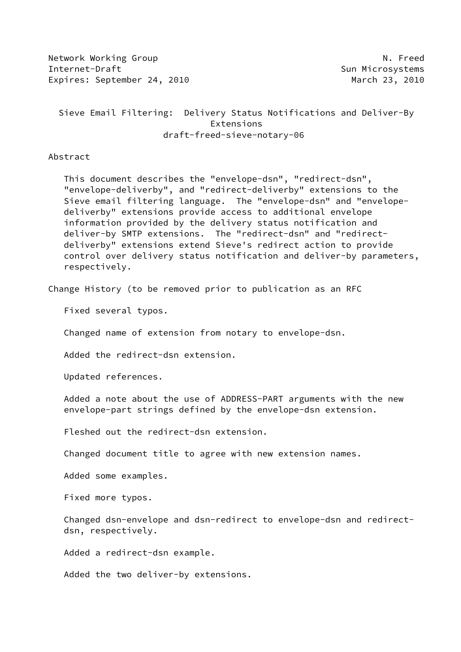Network Working Group Network Alexander Museum N. Freed Internet-Draft Sun Microsystems Expires: September 24, 2010 March 23, 2010

 Sieve Email Filtering: Delivery Status Notifications and Deliver-By Extensions draft-freed-sieve-notary-06

Abstract

 This document describes the "envelope-dsn", "redirect-dsn", "envelope-deliverby", and "redirect-deliverby" extensions to the Sieve email filtering language. The "envelope-dsn" and "envelope deliverby" extensions provide access to additional envelope information provided by the delivery status notification and deliver-by SMTP extensions. The "redirect-dsn" and "redirect deliverby" extensions extend Sieve's redirect action to provide control over delivery status notification and deliver-by parameters, respectively.

Change History (to be removed prior to publication as an RFC

Fixed several typos.

Changed name of extension from notary to envelope-dsn.

Added the redirect-dsn extension.

Updated references.

 Added a note about the use of ADDRESS-PART arguments with the new envelope-part strings defined by the envelope-dsn extension.

Fleshed out the redirect-dsn extension.

Changed document title to agree with new extension names.

Added some examples.

Fixed more typos.

 Changed dsn-envelope and dsn-redirect to envelope-dsn and redirect dsn, respectively.

Added a redirect-dsn example.

Added the two deliver-by extensions.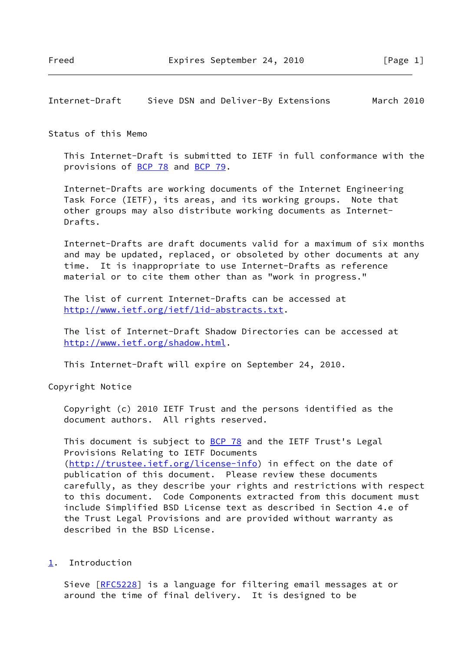## Internet-Draft Sieve DSN and Deliver-By Extensions March 2010

#### Status of this Memo

 This Internet-Draft is submitted to IETF in full conformance with the provisions of [BCP 78](https://datatracker.ietf.org/doc/pdf/bcp78) and [BCP 79](https://datatracker.ietf.org/doc/pdf/bcp79).

 Internet-Drafts are working documents of the Internet Engineering Task Force (IETF), its areas, and its working groups. Note that other groups may also distribute working documents as Internet- Drafts.

 Internet-Drafts are draft documents valid for a maximum of six months and may be updated, replaced, or obsoleted by other documents at any time. It is inappropriate to use Internet-Drafts as reference material or to cite them other than as "work in progress."

 The list of current Internet-Drafts can be accessed at <http://www.ietf.org/ietf/1id-abstracts.txt>.

 The list of Internet-Draft Shadow Directories can be accessed at <http://www.ietf.org/shadow.html>.

This Internet-Draft will expire on September 24, 2010.

Copyright Notice

 Copyright (c) 2010 IETF Trust and the persons identified as the document authors. All rights reserved.

This document is subject to **[BCP 78](https://datatracker.ietf.org/doc/pdf/bcp78)** and the IETF Trust's Legal Provisions Relating to IETF Documents [\(http://trustee.ietf.org/license-info](http://trustee.ietf.org/license-info)) in effect on the date of publication of this document. Please review these documents carefully, as they describe your rights and restrictions with respect to this document. Code Components extracted from this document must include Simplified BSD License text as described in Section 4.e of the Trust Legal Provisions and are provided without warranty as described in the BSD License.

<span id="page-1-0"></span>[1](#page-1-0). Introduction

Sieve [[RFC5228](https://datatracker.ietf.org/doc/pdf/rfc5228)] is a language for filtering email messages at or around the time of final delivery. It is designed to be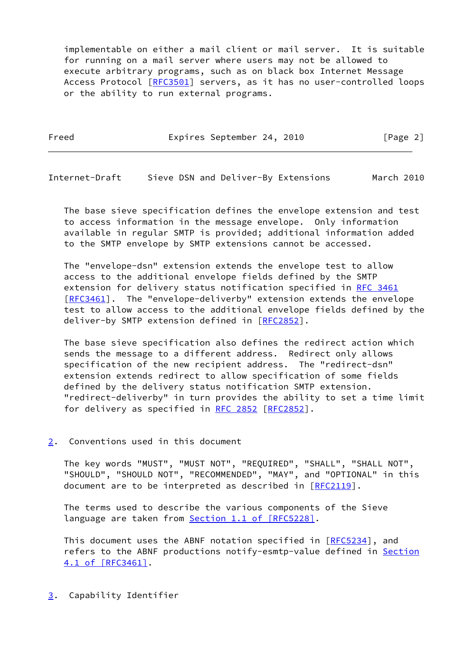implementable on either a mail client or mail server. It is suitable for running on a mail server where users may not be allowed to execute arbitrary programs, such as on black box Internet Message Access Protocol [\[RFC3501](https://datatracker.ietf.org/doc/pdf/rfc3501)] servers, as it has no user-controlled loops or the ability to run external programs.

Freed Expires September 24, 2010 [Page 2]

Internet-Draft Sieve DSN and Deliver-By Extensions March 2010

 The base sieve specification defines the envelope extension and test to access information in the message envelope. Only information available in regular SMTP is provided; additional information added to the SMTP envelope by SMTP extensions cannot be accessed.

 The "envelope-dsn" extension extends the envelope test to allow access to the additional envelope fields defined by the SMTP extension for delivery status notification specified in [RFC 3461](https://datatracker.ietf.org/doc/pdf/rfc3461) [\[RFC3461](https://datatracker.ietf.org/doc/pdf/rfc3461)]. The "envelope-deliverby" extension extends the envelope test to allow access to the additional envelope fields defined by the deliver-by SMTP extension defined in [\[RFC2852](https://datatracker.ietf.org/doc/pdf/rfc2852)].

 The base sieve specification also defines the redirect action which sends the message to a different address. Redirect only allows specification of the new recipient address. The "redirect-dsn" extension extends redirect to allow specification of some fields defined by the delivery status notification SMTP extension. "redirect-deliverby" in turn provides the ability to set a time limit for delivery as specified in [RFC 2852](https://datatracker.ietf.org/doc/pdf/rfc2852) [[RFC2852](https://datatracker.ietf.org/doc/pdf/rfc2852)].

# <span id="page-2-0"></span>[2](#page-2-0). Conventions used in this document

 The key words "MUST", "MUST NOT", "REQUIRED", "SHALL", "SHALL NOT", "SHOULD", "SHOULD NOT", "RECOMMENDED", "MAY", and "OPTIONAL" in this document are to be interpreted as described in [\[RFC2119](https://datatracker.ietf.org/doc/pdf/rfc2119)].

 The terms used to describe the various components of the Sieve language are taken from **Section [1.1 of \[RFC5228\]](https://datatracker.ietf.org/doc/pdf/rfc5228#section-1.1)**.

 This document uses the ABNF notation specified in [[RFC5234](https://datatracker.ietf.org/doc/pdf/rfc5234)], and refers to the ABNF productions notify-esmtp-value defined in [Section](https://datatracker.ietf.org/doc/pdf/rfc3461#section-4.1) [4.1 of \[RFC3461\]](https://datatracker.ietf.org/doc/pdf/rfc3461#section-4.1).

<span id="page-2-1"></span>[3](#page-2-1). Capability Identifier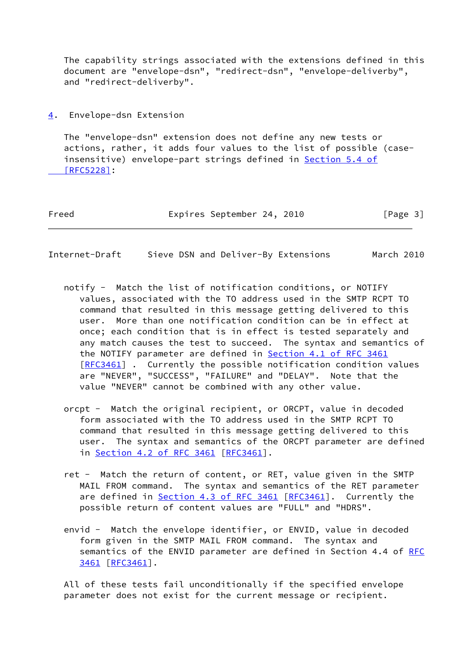The capability strings associated with the extensions defined in this document are "envelope-dsn", "redirect-dsn", "envelope-deliverby", and "redirect-deliverby".

<span id="page-3-0"></span>[4](#page-3-0). Envelope-dsn Extension

 The "envelope-dsn" extension does not define any new tests or actions, rather, it adds four values to the list of possible (case insensitive) envelope-part strings defined in **Section 5.4 of**  [\[RFC5228\]](https://datatracker.ietf.org/doc/pdf/rfc5228#section-5.4):

| Freed |  | Expires September 24, 2010 |  |  | [Page 3] |  |  |
|-------|--|----------------------------|--|--|----------|--|--|
|-------|--|----------------------------|--|--|----------|--|--|

Internet-Draft Sieve DSN and Deliver-By Extensions March 2010

- notify Match the list of notification conditions, or NOTIFY values, associated with the TO address used in the SMTP RCPT TO command that resulted in this message getting delivered to this user. More than one notification condition can be in effect at once; each condition that is in effect is tested separately and any match causes the test to succeed. The syntax and semantics of the NOTIFY parameter are defined in Section [4.1 of RFC 3461](https://datatracker.ietf.org/doc/pdf/rfc3461#section-4.1) [[RFC3461\]](https://datatracker.ietf.org/doc/pdf/rfc3461) . Currently the possible notification condition values are "NEVER", "SUCCESS", "FAILURE" and "DELAY". Note that the value "NEVER" cannot be combined with any other value.
- orcpt Match the original recipient, or ORCPT, value in decoded form associated with the TO address used in the SMTP RCPT TO command that resulted in this message getting delivered to this user. The syntax and semantics of the ORCPT parameter are defined in Section [4.2 of RFC 3461](https://datatracker.ietf.org/doc/pdf/rfc3461#section-4.2) [[RFC3461](https://datatracker.ietf.org/doc/pdf/rfc3461)].
- ret Match the return of content, or RET, value given in the SMTP MAIL FROM command. The syntax and semantics of the RET parameter are defined in Section [4.3 of RFC 3461](https://datatracker.ietf.org/doc/pdf/rfc3461#section-4.3) [[RFC3461](https://datatracker.ietf.org/doc/pdf/rfc3461)]. Currently the possible return of content values are "FULL" and "HDRS".
- envid Match the envelope identifier, or ENVID, value in decoded form given in the SMTP MAIL FROM command. The syntax and semantics of the ENVID parameter are defined in Section 4.4 of [RFC](https://datatracker.ietf.org/doc/pdf/rfc3461) [3461 \[RFC3461](https://datatracker.ietf.org/doc/pdf/rfc3461)].

 All of these tests fail unconditionally if the specified envelope parameter does not exist for the current message or recipient.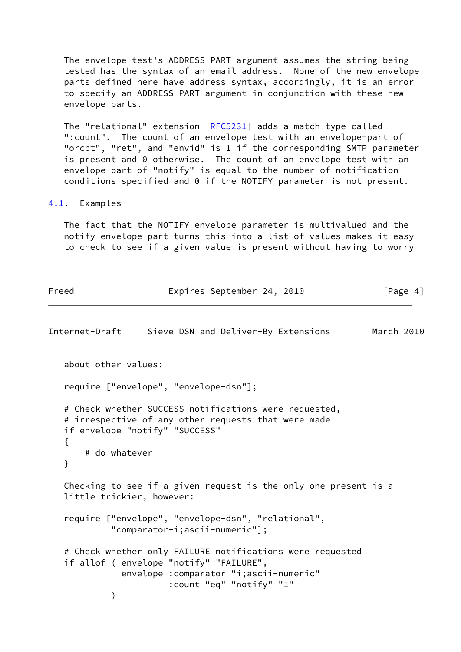The envelope test's ADDRESS-PART argument assumes the string being tested has the syntax of an email address. None of the new envelope parts defined here have address syntax, accordingly, it is an error to specify an ADDRESS-PART argument in conjunction with these new envelope parts.

The "relational" extension [[RFC5231\]](https://datatracker.ietf.org/doc/pdf/rfc5231) adds a match type called ":count". The count of an envelope test with an envelope-part of "orcpt", "ret", and "envid" is 1 if the corresponding SMTP parameter is present and 0 otherwise. The count of an envelope test with an envelope-part of "notify" is equal to the number of notification conditions specified and 0 if the NOTIFY parameter is not present.

### <span id="page-4-0"></span>[4.1](#page-4-0). Examples

 The fact that the NOTIFY envelope parameter is multivalued and the notify envelope-part turns this into a list of values makes it easy to check to see if a given value is present without having to worry

| Freed                     | Expires September 24, 2010                                                                                                                                                   | [Page $4$ ] |  |
|---------------------------|------------------------------------------------------------------------------------------------------------------------------------------------------------------------------|-------------|--|
| Internet-Draft            | Sieve DSN and Deliver-By Extensions                                                                                                                                          | March 2010  |  |
| about other values:       |                                                                                                                                                                              |             |  |
|                           | require ["envelope", "envelope-dsn"];                                                                                                                                        |             |  |
| ₹<br># do whatever<br>}   | # Check whether SUCCESS notifications were requested,<br># irrespective of any other requests that were made<br>if envelope "notify" "SUCCESS"                               |             |  |
| little trickier, however: | Checking to see if a given request is the only one present is a                                                                                                              |             |  |
|                           | require ["envelope", "envelope-dsn", "relational",<br>"comparator-i;ascii-numeric"];                                                                                         |             |  |
|                           | # Check whether only FAILURE notifications were requested<br>if allof ( envelope "notify" "FAILURE",<br>envelope : comparator "i; ascii-numeric"<br>:count "eq" "notify" "1" |             |  |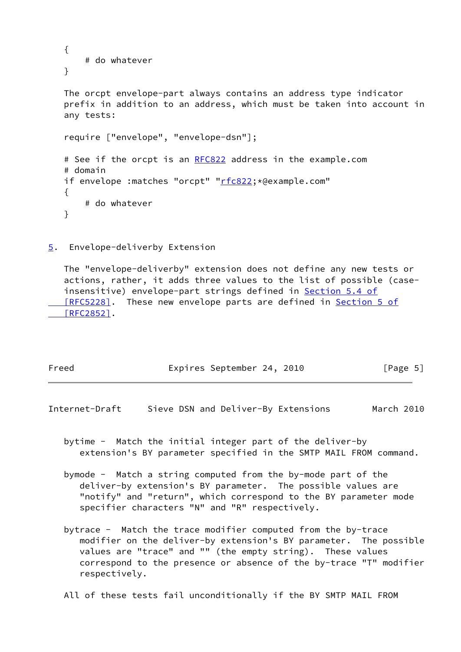```
 {
    # do whatever
 }
 The orcpt envelope-part always contains an address type indicator
 prefix in addition to an address, which must be taken into account in
 any tests:
 require ["envelope", "envelope-dsn"];
 RFC822 address in the example.com
# domain
"rfc822; *@example.com"
 {
    # do whatever
 }
```
<span id="page-5-0"></span>[5](#page-5-0). Envelope-deliverby Extension

 The "envelope-deliverby" extension does not define any new tests or actions, rather, it adds three values to the list of possible (case- insensitive) envelope-part strings defined in [Section](https://datatracker.ietf.org/doc/pdf/rfc5228#section-5.4) 5.4 of [RFC5228]. These new envelope parts are defined in [Section](https://datatracker.ietf.org/doc/pdf/rfc2852#section-5) 5 of  $[RFC2852]$ .

| Freed |  | Expires September 24, 2010 |  |  |  | [Page 5] |  |
|-------|--|----------------------------|--|--|--|----------|--|
|-------|--|----------------------------|--|--|--|----------|--|

Internet-Draft Sieve DSN and Deliver-By Extensions March 2010

- bytime Match the initial integer part of the deliver-by extension's BY parameter specified in the SMTP MAIL FROM command.
- bymode Match a string computed from the by-mode part of the deliver-by extension's BY parameter. The possible values are "notify" and "return", which correspond to the BY parameter mode specifier characters "N" and "R" respectively.
- bytrace Match the trace modifier computed from the by-trace modifier on the deliver-by extension's BY parameter. The possible values are "trace" and "" (the empty string). These values correspond to the presence or absence of the by-trace "T" modifier respectively.
- All of these tests fail unconditionally if the BY SMTP MAIL FROM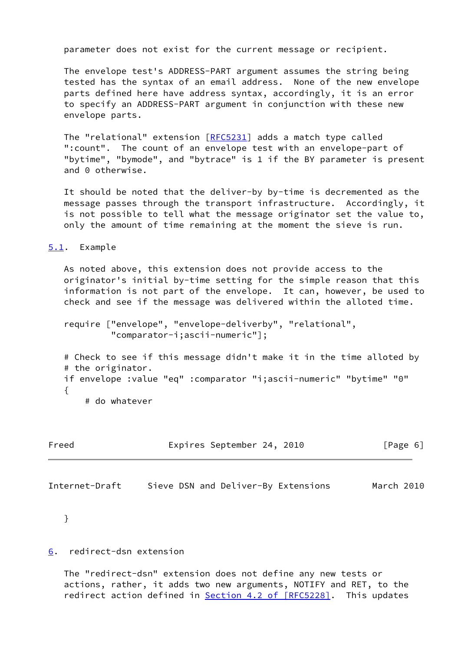parameter does not exist for the current message or recipient.

 The envelope test's ADDRESS-PART argument assumes the string being tested has the syntax of an email address. None of the new envelope parts defined here have address syntax, accordingly, it is an error to specify an ADDRESS-PART argument in conjunction with these new envelope parts.

The "relational" extension [[RFC5231\]](https://datatracker.ietf.org/doc/pdf/rfc5231) adds a match type called ":count". The count of an envelope test with an envelope-part of "bytime", "bymode", and "bytrace" is 1 if the BY parameter is present and 0 otherwise.

 It should be noted that the deliver-by by-time is decremented as the message passes through the transport infrastructure. Accordingly, it is not possible to tell what the message originator set the value to, only the amount of time remaining at the moment the sieve is run.

<span id="page-6-0"></span>[5.1](#page-6-0). Example

 As noted above, this extension does not provide access to the originator's initial by-time setting for the simple reason that this information is not part of the envelope. It can, however, be used to check and see if the message was delivered within the alloted time.

 require ["envelope", "envelope-deliverby", "relational", "comparator-i;ascii-numeric"];

 # Check to see if this message didn't make it in the time alloted by # the originator. if envelope :value "eq" :comparator "i;ascii-numeric" "bytime" "0" { # do whatever

Freed Expires September 24, 2010 [Page 6]

Internet-Draft Sieve DSN and Deliver-By Extensions March 2010

}

### <span id="page-6-1"></span>[6](#page-6-1). redirect-dsn extension

 The "redirect-dsn" extension does not define any new tests or actions, rather, it adds two new arguments, NOTIFY and RET, to the redirect action defined in Section [4.2 of \[RFC5228\].](https://datatracker.ietf.org/doc/pdf/rfc5228#section-4.2) This updates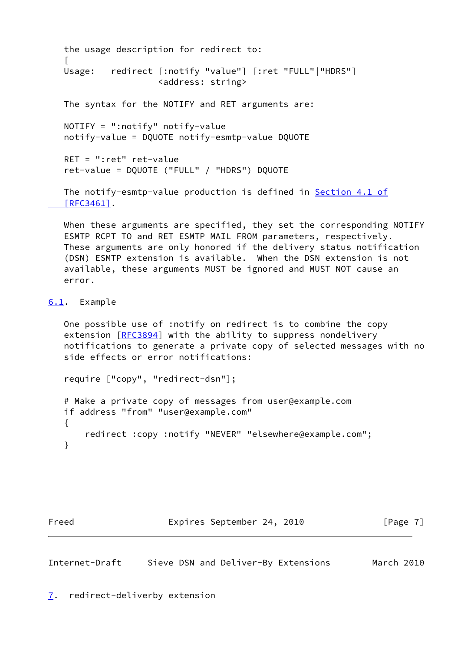```
 the usage description for redirect to:
\Box Usage: redirect [:notify "value"] [:ret "FULL"|"HDRS"]
                    <address: string>
   The syntax for the NOTIFY and RET arguments are:
   NOTIFY = ":notify" notify-value
   notify-value = DQUOTE notify-esmtp-value DQUOTE
   RET = ":ret" ret-value
   ret-value = DQUOTE ("FULL" / "HDRS") DQUOTE
   Section 4.1 of
   [RFC3461].
```
 When these arguments are specified, they set the corresponding NOTIFY ESMTP RCPT TO and RET ESMTP MAIL FROM parameters, respectively. These arguments are only honored if the delivery status notification (DSN) ESMTP extension is available. When the DSN extension is not available, these arguments MUST be ignored and MUST NOT cause an error.

# <span id="page-7-0"></span>[6.1](#page-7-0). Example

 One possible use of :notify on redirect is to combine the copy extension [[RFC3894](https://datatracker.ietf.org/doc/pdf/rfc3894)] with the ability to suppress nondelivery notifications to generate a private copy of selected messages with no side effects or error notifications:

require ["copy", "redirect-dsn"];

```
 # Make a private copy of messages from user@example.com
 if address "from" "user@example.com"
 {
     redirect :copy :notify "NEVER" "elsewhere@example.com";
 }
```
Freed Expires September 24, 2010 [Page 7]

<span id="page-7-1"></span>Internet-Draft Sieve DSN and Deliver-By Extensions March 2010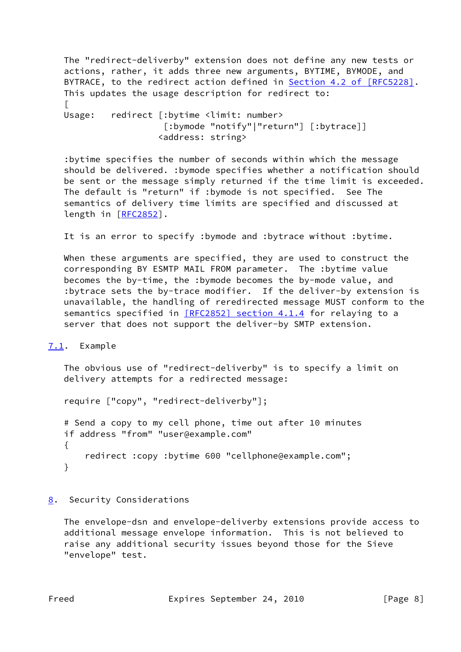The "redirect-deliverby" extension does not define any new tests or actions, rather, it adds three new arguments, BYTIME, BYMODE, and BYTRACE, to the redirect action defined in **Section 4.2 of [RFC5228]**. This updates the usage description for redirect to:  $\Box$ Usage: redirect [:bytime <limit: number> [:bymode "notify"|"return"] [:bytrace]] <address: string>

 :bytime specifies the number of seconds within which the message should be delivered. :bymode specifies whether a notification should be sent or the message simply returned if the time limit is exceeded. The default is "return" if :bymode is not specified. See The semantics of delivery time limits are specified and discussed at length in [[RFC2852](https://datatracker.ietf.org/doc/pdf/rfc2852)].

It is an error to specify :bymode and :bytrace without :bytime.

 When these arguments are specified, they are used to construct the corresponding BY ESMTP MAIL FROM parameter. The :bytime value becomes the by-time, the :bymode becomes the by-mode value, and :bytrace sets the by-trace modifier. If the deliver-by extension is unavailable, the handling of reredirected message MUST conform to the semantics specified in [\[RFC2852\] section](https://datatracker.ietf.org/doc/pdf/rfc2852#section-4.1.4) 4.1.4 for relaying to a server that does not support the deliver-by SMTP extension.

<span id="page-8-0"></span>[7.1](#page-8-0). Example

 The obvious use of "redirect-deliverby" is to specify a limit on delivery attempts for a redirected message:

require ["copy", "redirect-deliverby"];

 # Send a copy to my cell phone, time out after 10 minutes if address "from" "user@example.com"  $\{$  redirect :copy :bytime 600 "cellphone@example.com"; }

<span id="page-8-1"></span>[8](#page-8-1). Security Considerations

 The envelope-dsn and envelope-deliverby extensions provide access to additional message envelope information. This is not believed to raise any additional security issues beyond those for the Sieve "envelope" test.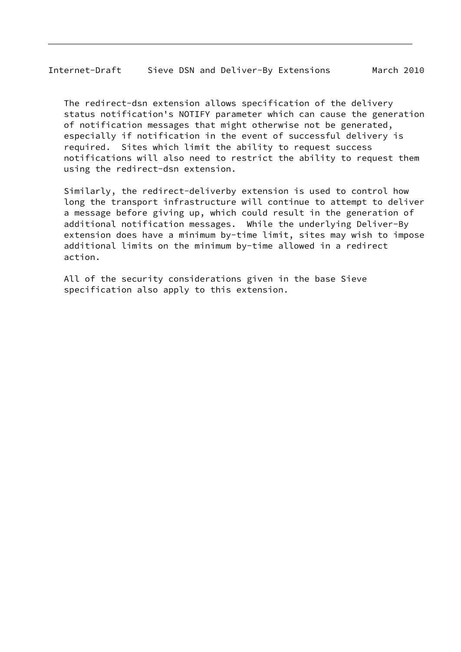The redirect-dsn extension allows specification of the delivery status notification's NOTIFY parameter which can cause the generation of notification messages that might otherwise not be generated, especially if notification in the event of successful delivery is required. Sites which limit the ability to request success notifications will also need to restrict the ability to request them using the redirect-dsn extension.

 Similarly, the redirect-deliverby extension is used to control how long the transport infrastructure will continue to attempt to deliver a message before giving up, which could result in the generation of additional notification messages. While the underlying Deliver-By extension does have a minimum by-time limit, sites may wish to impose additional limits on the minimum by-time allowed in a redirect action.

 All of the security considerations given in the base Sieve specification also apply to this extension.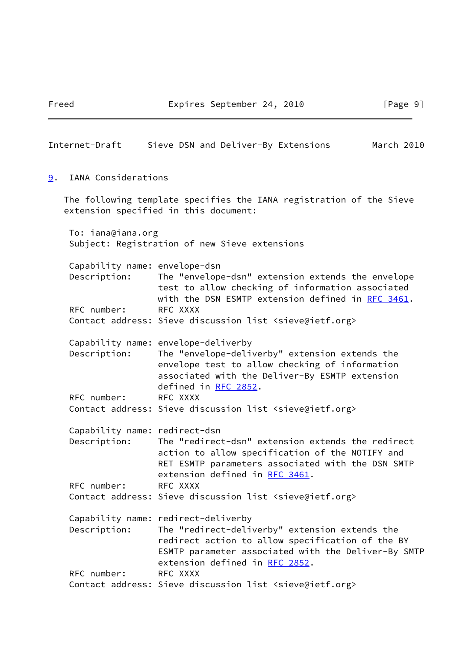<span id="page-10-0"></span>

| Internet-Draft                                | Sieve DSN and Deliver-By Extensions                                                                                                                                                                                                | March 2010 |  |
|-----------------------------------------------|------------------------------------------------------------------------------------------------------------------------------------------------------------------------------------------------------------------------------------|------------|--|
| IANA Considerations<br>9.                     |                                                                                                                                                                                                                                    |            |  |
|                                               | The following template specifies the IANA registration of the Sieve<br>extension specified in this document:                                                                                                                       |            |  |
| To: iana@iana.org                             | Subject: Registration of new Sieve extensions                                                                                                                                                                                      |            |  |
| Capability name: envelope-dsn<br>Description: | The "envelope-dsn" extension extends the envelope<br>test to allow checking of information associated<br>with the DSN ESMTP extension defined in RFC 3461.                                                                         |            |  |
| RFC number:                                   | RFC XXXX<br>Contact address: Sieve discussion list <sieve@ietf.org></sieve@ietf.org>                                                                                                                                               |            |  |
| Description:                                  | Capability name: envelope-deliverby<br>The "envelope-deliverby" extension extends the<br>envelope test to allow checking of information<br>associated with the Deliver-By ESMTP extension<br>defined in RFC 2852.                  |            |  |
| RFC number:                                   | RFC XXXX<br>Contact address: Sieve discussion list <sieve@ietf.org></sieve@ietf.org>                                                                                                                                               |            |  |
| Capability name: redirect-dsn<br>Description: | The "redirect-dsn" extension extends the redirect<br>action to allow specification of the NOTIFY and<br>RET ESMTP parameters associated with the DSN SMTP<br>extension defined in RFC 3461.                                        |            |  |
| RFC number:                                   | RFC XXXX<br>Contact address: Sieve discussion list <sieve@ietf.org></sieve@ietf.org>                                                                                                                                               |            |  |
| Description:                                  | Capability name: redirect-deliverby<br>The "redirect-deliverby" extension extends the<br>redirect action to allow specification of the BY<br>ESMTP parameter associated with the Deliver-By SMTP<br>extension defined in RFC 2852. |            |  |
| RFC number:                                   | RFC XXXX<br>Contact address: Sieve discussion list <sieve@ietf.org></sieve@ietf.org>                                                                                                                                               |            |  |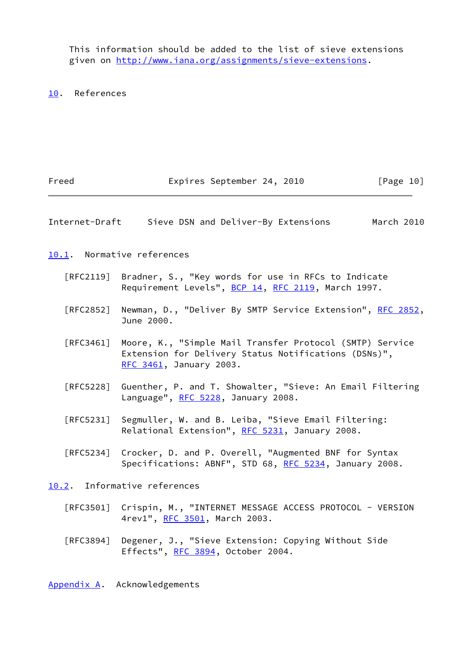This information should be added to the list of sieve extensions given on<http://www.iana.org/assignments/sieve-extensions>.

<span id="page-11-0"></span>[10.](#page-11-0) References

<span id="page-11-1"></span>

| Freed             | Expires September 24, 2010                                                                                                                  | [Page 10]  |
|-------------------|---------------------------------------------------------------------------------------------------------------------------------------------|------------|
| Internet-Draft    | Sieve DSN and Deliver-By Extensions                                                                                                         | March 2010 |
|                   | 10.1. Normative references                                                                                                                  |            |
|                   | [RFC2119] Bradner, S., "Key words for use in RFCs to Indicate<br>Requirement Levels", BCP 14, RFC 2119, March 1997.                         |            |
| [RFC2852]         | Newman, D., "Deliver By SMTP Service Extension", RFC 2852,<br>June 2000.                                                                    |            |
| $\lceil$ RFC3461] | Moore, K., "Simple Mail Transfer Protocol (SMTP) Service<br>Extension for Delivery Status Notifications (DSNs)",<br>RFC 3461, January 2003. |            |
| [RFC5228]         | Guenther, P. and T. Showalter, "Sieve: An Email Filtering<br>Language", RFC 5228, January 2008.                                             |            |
| [RFC5231]         | Segmuller, W. and B. Leiba, "Sieve Email Filtering:<br>Relational Extension", RFC 5231, January 2008.                                       |            |
| [REC5234]         | Crocker, D. and P. Overell, "Augmented BNF for Syntax<br>Specifications: ABNF", STD 68, RFC 5234, January 2008.                             |            |
|                   | 10.2. Informative references                                                                                                                |            |
|                   | [RFC3501] Crispin, M., "INTERNET MESSAGE ACCESS PROTOCOL - VERSION<br>4rev1", RFC 3501, March 2003.                                         |            |
| [RFC3894]         | Degener, J., "Sieve Extension: Copying Without Side<br>Effects", RFC 3894, October 2004.                                                    |            |

<span id="page-11-3"></span><span id="page-11-2"></span>[Appendix A.](#page-11-3) Acknowledgements